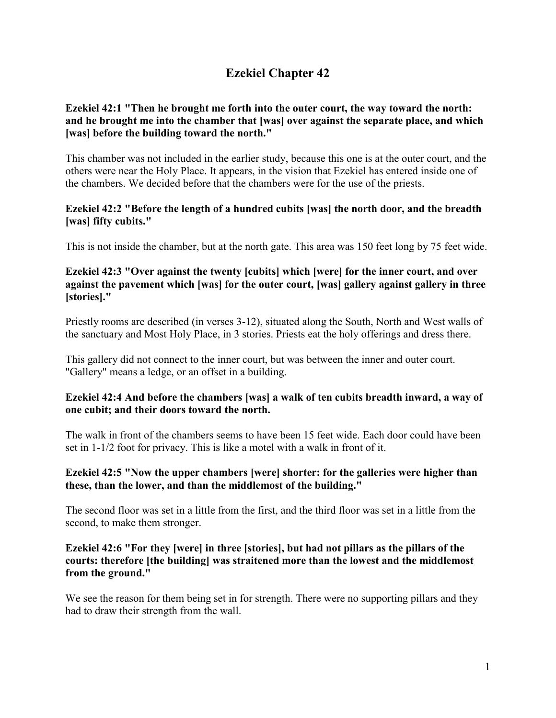# **Ezekiel Chapter 42**

# **Ezekiel 42:1 "Then he brought me forth into the outer court, the way toward the north: and he brought me into the chamber that [was] over against the separate place, and which [was] before the building toward the north."**

This chamber was not included in the earlier study, because this one is at the outer court, and the others were near the Holy Place. It appears, in the vision that Ezekiel has entered inside one of the chambers. We decided before that the chambers were for the use of the priests.

# **Ezekiel 42:2 "Before the length of a hundred cubits [was] the north door, and the breadth [was] fifty cubits."**

This is not inside the chamber, but at the north gate. This area was 150 feet long by 75 feet wide.

# **Ezekiel 42:3 "Over against the twenty [cubits] which [were] for the inner court, and over against the pavement which [was] for the outer court, [was] gallery against gallery in three [stories]."**

Priestly rooms are described (in verses 3-12), situated along the South, North and West walls of the sanctuary and Most Holy Place, in 3 stories. Priests eat the holy offerings and dress there.

This gallery did not connect to the inner court, but was between the inner and outer court. "Gallery" means a ledge, or an offset in a building.

# **Ezekiel 42:4 And before the chambers [was] a walk of ten cubits breadth inward, a way of one cubit; and their doors toward the north.**

The walk in front of the chambers seems to have been 15 feet wide. Each door could have been set in 1-1/2 foot for privacy. This is like a motel with a walk in front of it.

# **Ezekiel 42:5 "Now the upper chambers [were] shorter: for the galleries were higher than these, than the lower, and than the middlemost of the building."**

The second floor was set in a little from the first, and the third floor was set in a little from the second, to make them stronger.

# **Ezekiel 42:6 "For they [were] in three [stories], but had not pillars as the pillars of the courts: therefore [the building] was straitened more than the lowest and the middlemost from the ground."**

We see the reason for them being set in for strength. There were no supporting pillars and they had to draw their strength from the wall.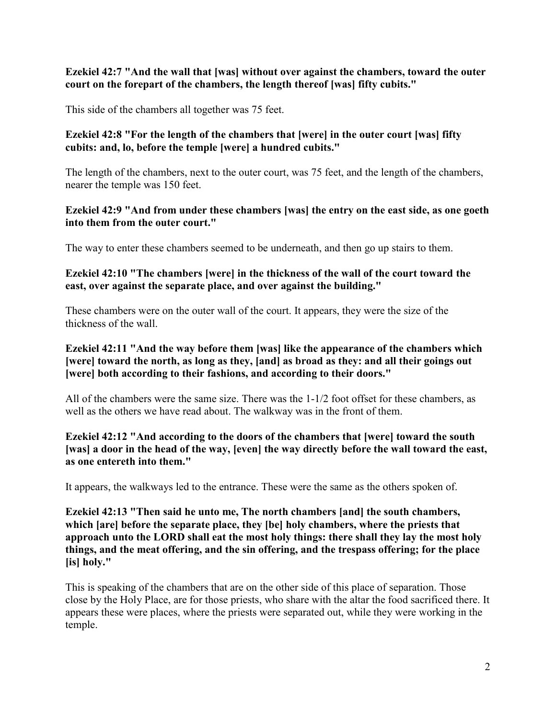# **Ezekiel 42:7 "And the wall that [was] without over against the chambers, toward the outer court on the forepart of the chambers, the length thereof [was] fifty cubits."**

This side of the chambers all together was 75 feet.

# **Ezekiel 42:8 "For the length of the chambers that [were] in the outer court [was] fifty cubits: and, lo, before the temple [were] a hundred cubits."**

The length of the chambers, next to the outer court, was 75 feet, and the length of the chambers, nearer the temple was 150 feet.

# **Ezekiel 42:9 "And from under these chambers [was] the entry on the east side, as one goeth into them from the outer court."**

The way to enter these chambers seemed to be underneath, and then go up stairs to them.

### **Ezekiel 42:10 "The chambers [were] in the thickness of the wall of the court toward the east, over against the separate place, and over against the building."**

These chambers were on the outer wall of the court. It appears, they were the size of the thickness of the wall.

# **Ezekiel 42:11 "And the way before them [was] like the appearance of the chambers which [were] toward the north, as long as they, [and] as broad as they: and all their goings out [were] both according to their fashions, and according to their doors."**

All of the chambers were the same size. There was the 1-1/2 foot offset for these chambers, as well as the others we have read about. The walkway was in the front of them.

# **Ezekiel 42:12 "And according to the doors of the chambers that [were] toward the south [was] a door in the head of the way, [even] the way directly before the wall toward the east, as one entereth into them."**

It appears, the walkways led to the entrance. These were the same as the others spoken of.

**Ezekiel 42:13 "Then said he unto me, The north chambers [and] the south chambers, which [are] before the separate place, they [be] holy chambers, where the priests that approach unto the LORD shall eat the most holy things: there shall they lay the most holy things, and the meat offering, and the sin offering, and the trespass offering; for the place [is] holy."**

This is speaking of the chambers that are on the other side of this place of separation. Those close by the Holy Place, are for those priests, who share with the altar the food sacrificed there. It appears these were places, where the priests were separated out, while they were working in the temple.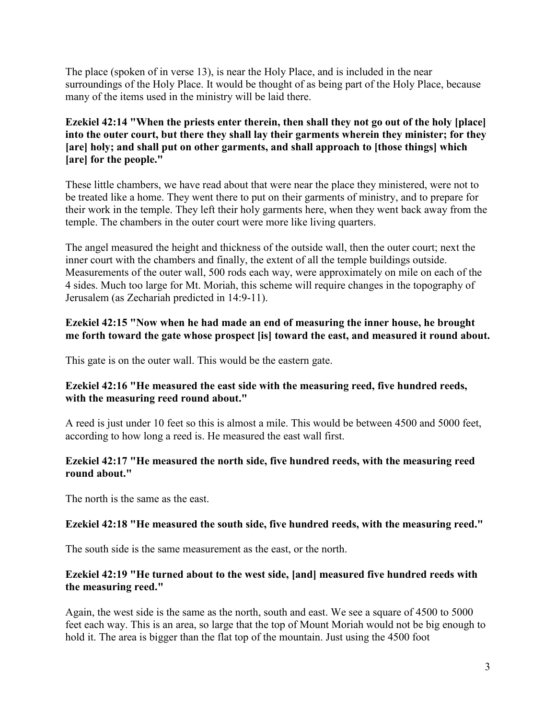The place (spoken of in verse 13), is near the Holy Place, and is included in the near surroundings of the Holy Place. It would be thought of as being part of the Holy Place, because many of the items used in the ministry will be laid there.

# **Ezekiel 42:14 "When the priests enter therein, then shall they not go out of the holy [place] into the outer court, but there they shall lay their garments wherein they minister; for they [are] holy; and shall put on other garments, and shall approach to [those things] which [are] for the people."**

These little chambers, we have read about that were near the place they ministered, were not to be treated like a home. They went there to put on their garments of ministry, and to prepare for their work in the temple. They left their holy garments here, when they went back away from the temple. The chambers in the outer court were more like living quarters.

The angel measured the height and thickness of the outside wall, then the outer court; next the inner court with the chambers and finally, the extent of all the temple buildings outside. Measurements of the outer wall, 500 rods each way, were approximately on mile on each of the 4 sides. Much too large for Mt. Moriah, this scheme will require changes in the topography of Jerusalem (as Zechariah predicted in 14:9-11).

### **Ezekiel 42:15 "Now when he had made an end of measuring the inner house, he brought me forth toward the gate whose prospect [is] toward the east, and measured it round about.**

This gate is on the outer wall. This would be the eastern gate.

# **Ezekiel 42:16 "He measured the east side with the measuring reed, five hundred reeds, with the measuring reed round about."**

A reed is just under 10 feet so this is almost a mile. This would be between 4500 and 5000 feet, according to how long a reed is. He measured the east wall first.

# **Ezekiel 42:17 "He measured the north side, five hundred reeds, with the measuring reed round about."**

The north is the same as the east.

# **Ezekiel 42:18 "He measured the south side, five hundred reeds, with the measuring reed."**

The south side is the same measurement as the east, or the north.

# **Ezekiel 42:19 "He turned about to the west side, [and] measured five hundred reeds with the measuring reed."**

Again, the west side is the same as the north, south and east. We see a square of 4500 to 5000 feet each way. This is an area, so large that the top of Mount Moriah would not be big enough to hold it. The area is bigger than the flat top of the mountain. Just using the 4500 foot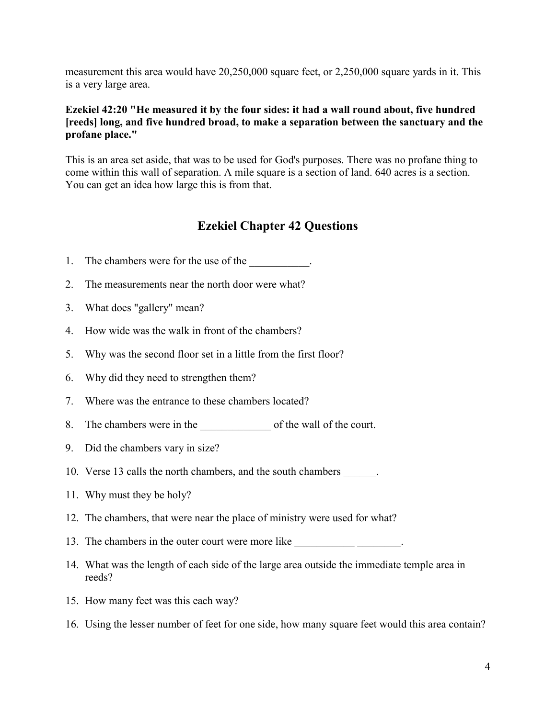measurement this area would have 20,250,000 square feet, or 2,250,000 square yards in it. This is a very large area.

### **Ezekiel 42:20 "He measured it by the four sides: it had a wall round about, five hundred [reeds] long, and five hundred broad, to make a separation between the sanctuary and the profane place."**

This is an area set aside, that was to be used for God's purposes. There was no profane thing to come within this wall of separation. A mile square is a section of land. 640 acres is a section. You can get an idea how large this is from that.

# **Ezekiel Chapter 42 Questions**

- 1. The chambers were for the use of the  $\blacksquare$
- 2. The measurements near the north door were what?
- 3. What does "gallery" mean?
- 4. How wide was the walk in front of the chambers?
- 5. Why was the second floor set in a little from the first floor?
- 6. Why did they need to strengthen them?
- 7. Where was the entrance to these chambers located?
- 8. The chambers were in the \_\_\_\_\_\_\_\_\_\_\_\_\_ of the wall of the court.
- 9. Did the chambers vary in size?
- 10. Verse 13 calls the north chambers, and the south chambers \_\_\_\_\_\_.
- 11. Why must they be holy?
- 12. The chambers, that were near the place of ministry were used for what?
- 13. The chambers in the outer court were more like \_\_\_\_\_\_\_\_\_\_\_\_\_\_\_\_\_\_\_\_\_.
- 14. What was the length of each side of the large area outside the immediate temple area in reeds?
- 15. How many feet was this each way?
- 16. Using the lesser number of feet for one side, how many square feet would this area contain?